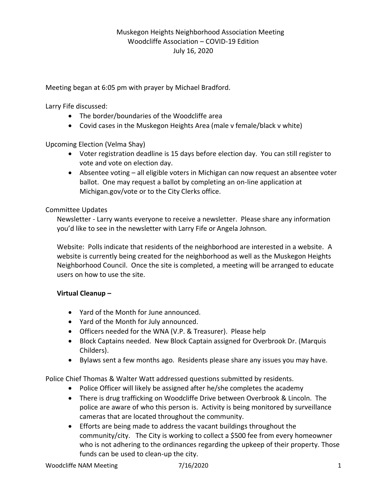Meeting began at 6:05 pm with prayer by Michael Bradford.

Larry Fife discussed:

- The border/boundaries of the Woodcliffe area
- Covid cases in the Muskegon Heights Area (male v female/black v white)

Upcoming Election (Velma Shay)

- Voter registration deadline is 15 days before election day. You can still register to vote and vote on election day.
- Absentee voting all eligible voters in Michigan can now request an absentee voter ballot. One may request a ballot by completing an on-line application at Michigan.gov/vote or to the City Clerks office.

## Committee Updates

Newsletter - Larry wants everyone to receive a newsletter. Please share any information you'd like to see in the newsletter with Larry Fife or Angela Johnson.

Website: Polls indicate that residents of the neighborhood are interested in a website. A website is currently being created for the neighborhood as well as the Muskegon Heights Neighborhood Council. Once the site is completed, a meeting will be arranged to educate users on how to use the site.

## **Virtual Cleanup –**

- Yard of the Month for June announced.
- Yard of the Month for July announced.
- Officers needed for the WNA (V.P. & Treasurer). Please help
- Block Captains needed. New Block Captain assigned for Overbrook Dr. (Marquis Childers).
- Bylaws sent a few months ago. Residents please share any issues you may have.

Police Chief Thomas & Walter Watt addressed questions submitted by residents.

- Police Officer will likely be assigned after he/she completes the academy
- There is drug trafficking on Woodcliffe Drive between Overbrook & Lincoln. The police are aware of who this person is. Activity is being monitored by surveillance cameras that are located throughout the community.
- Efforts are being made to address the vacant buildings throughout the community/city. The City is working to collect a \$500 fee from every homeowner who is not adhering to the ordinances regarding the upkeep of their property. Those funds can be used to clean-up the city.